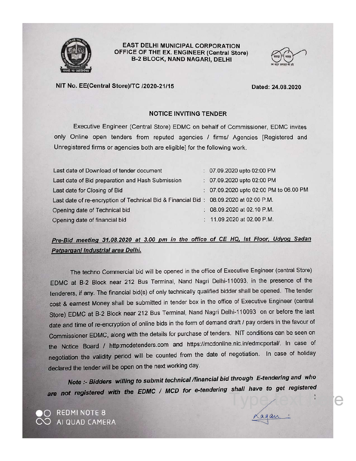

#### **EAST DELHI MUNICIPAL CORPORATION** OFFICE OF THE EX. ENGINEER (Central Store) **B-2 BLOCK, NAND NAGARI, DELHI**



#### NIT No. EE(Central Store)/TC /2020-21/15

Dated: 24.08.2020

#### **NOTICE INVITING TENDER**

Executive Engineer (Central Store) EDMC on behalf of Commissioner, EDMC invites only Online open tenders from reputed agencies / firms/ Agencies [Registered and Unregistered firms or agencies both are eligible] for the following work.

| Last date of Download of tender document                                              | : 07.09.2020 upto 02:00 PM             |
|---------------------------------------------------------------------------------------|----------------------------------------|
| Last date of Bid preparation and Hash Submission                                      | : 07.09.2020 upto 02:00 PM             |
| Last date for Closing of Bid                                                          | : 07.09.2020 upto 02:00 PM to 06.00 PM |
| Last date of re-encryption of Technical Bid & Financial Bid: 08.09.2020 at 02:00 P.M. |                                        |
| Opening date of Technical bid                                                         | 08.09.2020 at 02.10 P.M.               |
| Opening date of financial bid                                                         | : 11.09.2020 at 02.00 P.M.             |

#### Pre-Bid meeting 31.08.2020 at 3.00 pm in the office of CE HQ, Ist Floor, Udyog Sadan Patparganj Industrial area Delhi.

The techno Commercial bid will be opened in the office of Executive Engineer (central Store) EDMC at B-2 Block near 212 Bus Terminal, Nand Nagri Delhi-110093, in the presence of the tenderers, if any. The financial bid(s) of only technically qualified bidder shall be opened. The tender cost & earnest Money shall be submitted in tender box in the office of Executive Engineer (central Store) EDMC at B-2 Block near 212 Bus Terminal, Nand Nagri Delhi-110093 on or before the last date and time of re-encryption of online bids in the form of demand draft / pay orders in the favour of Commissioner EDMC, along with the details for purchase of tenders. NIT conditions can be seen on the Notice Board / http:mcdetenders.com and https://mcdonline.nic.in/edmcportal/. In case of negotiation the validity period will be counted from the date of negotiation. In case of holiday declared the tender will be open on the next working day.

Note :- Bidders willing to submit technical /financial bid through E-tendering and who are not registered with the EDMC / MCD for e-tendering shall have to get registered

REDMINOTE 8 AI QUAD CAMERA

again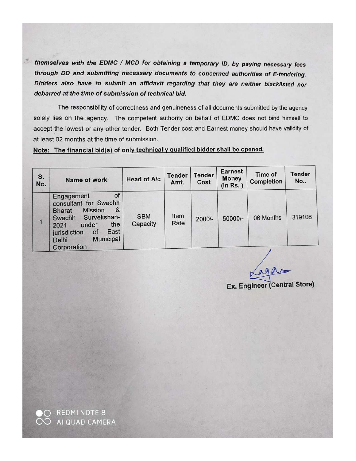themselves with the EDMC / MCD for obtaining a temporary ID, by paying necessary fees through DD and submitting necessary documents to concerned authorities of E-tendering. Bidders also have to submit an affidavit regarding that they are neither blacklisted nor debarred at the time of submission of technical bid.

The responsibility of correctness and genuineness of all documents submitted by the agency solely lies on the agency. The competent authority on behalf of EDMC does not bind himself to accept the lowest or any other tender. Both Tender cost and Earnest money should have validity of at least 02 months at the time of submission.

Note: The financial bid(s) of only technically qualified bidder shall be opened.

| S.<br>No. | Name of work                                                                                                                                                                                          | Head of A/c            | <b>Tender</b><br>Amt. | <b>Tender</b><br>Cost | <b>Earnest</b><br><b>Money</b><br>(in Rs.) | Time of<br>Completion | Tender<br><b>No</b> |
|-----------|-------------------------------------------------------------------------------------------------------------------------------------------------------------------------------------------------------|------------------------|-----------------------|-----------------------|--------------------------------------------|-----------------------|---------------------|
|           | of<br>Engagement<br>consultant for Swachh<br>&<br><b>Mission</b><br><b>Bharat</b><br>Survekshan-<br>Swachh<br>the<br>under<br>2021<br>East<br>jurisdiction<br>of<br>Municipal<br>Delhi<br>Corporation | <b>SBM</b><br>Capacity | Item<br>Rate          | $2000/-$              | 50000/-                                    | 06 Months             | 319108              |

Ex. Engineer (Central Store)

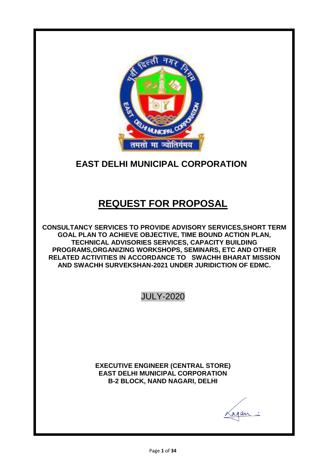

# **EAST DELHI MUNICIPAL CORPORATION**

# **REQUEST FOR PROPOSAL**

**CONSULTANCY SERVICES TO PROVIDE ADVISORY SERVICES,SHORT TERM GOAL PLAN TO ACHIEVE OBJECTIVE, TIME BOUND ACTION PLAN, TECHNICAL ADVISORIES SERVICES, CAPACITY BUILDING PROGRAMS,ORGANIZING WORKSHOPS, SEMINARS, ETC AND OTHER RELATED ACTIVITIES IN ACCORDANCE TO SWACHH BHARAT MISSION AND SWACHH SURVEKSHAN-2021 UNDER JURIDICTION OF EDMC.**

JULY-2020

**EXECUTIVE ENGINEER (CENTRAL STORE) EAST DELHI MUNICIPAL CORPORATION B-2 BLOCK, NAND NAGARI, DELHI**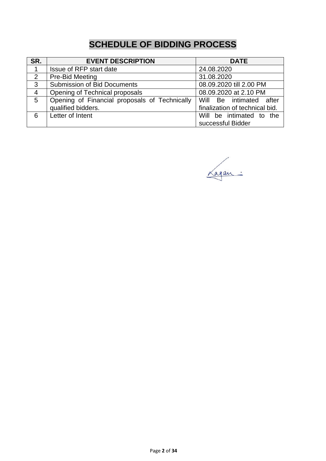# **SCHEDULE OF BIDDING PROCESS**

| SR.            | <b>EVENT DESCRIPTION</b>                                            | <b>DATE</b>                                               |  |  |
|----------------|---------------------------------------------------------------------|-----------------------------------------------------------|--|--|
|                | Issue of RFP start date                                             | 24.08.2020                                                |  |  |
| 2              | Pre-Bid Meeting                                                     | 31.08.2020                                                |  |  |
| 3              | <b>Submission of Bid Documents</b>                                  | 08.09.2020 till 2.00 PM                                   |  |  |
| $\overline{4}$ | Opening of Technical proposals                                      | 08.09.2020 at 2.10 PM                                     |  |  |
| 5              | Opening of Financial proposals of Technically<br>qualified bidders. | Will Be intimated after<br>finalization of technical bid. |  |  |
| 6              | Letter of Intent<br>Will be intimated to the<br>successful Bidder   |                                                           |  |  |

Lagan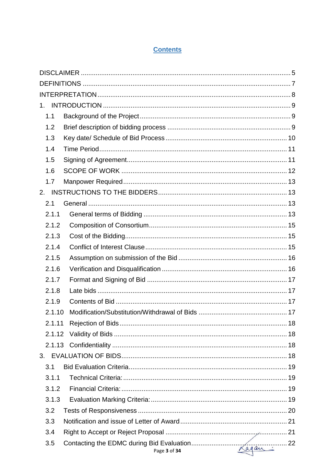#### **Contents**

| $1_{-}$ |              |  |
|---------|--------------|--|
| 1.1     |              |  |
| 1.2     |              |  |
| 1.3     |              |  |
| 1.4     |              |  |
| 1.5     |              |  |
| 1.6     |              |  |
| 1.7     |              |  |
| 2.      |              |  |
| 2.1     |              |  |
| 2.1.1   |              |  |
| 2.1.2   |              |  |
| 2.1.3   |              |  |
| 2.1.4   |              |  |
| 2.1.5   |              |  |
| 2.1.6   |              |  |
| 2.1.7   |              |  |
| 2.1.8   |              |  |
| 2.1.9   |              |  |
| 2.1.10  |              |  |
| 2.1.11  |              |  |
| 2.1.12  |              |  |
|         |              |  |
|         |              |  |
| 3.1     |              |  |
| 3.1.1   |              |  |
| 3.1.2   |              |  |
| 3.1.3   |              |  |
| 3.2     |              |  |
| 3.3     |              |  |
| 3.4     |              |  |
| 3.5     | Page 3 of 34 |  |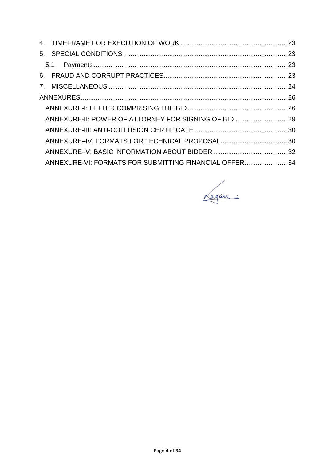| ANNEXURE-II: POWER OF ATTORNEY FOR SIGNING OF BID  29  |  |
|--------------------------------------------------------|--|
|                                                        |  |
|                                                        |  |
|                                                        |  |
| ANNEXURE-VI: FORMATS FOR SUBMITTING FINANCIAL OFFER 34 |  |

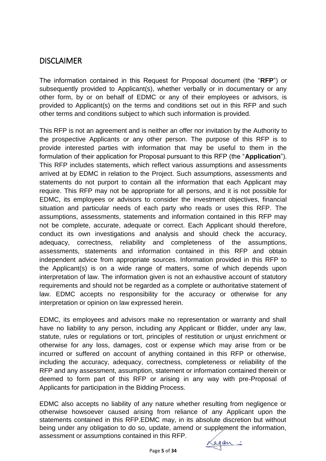# **DISCLAIMER**

The information contained in this Request for Proposal document (the "**RFP**") or subsequently provided to Applicant(s), whether verbally or in documentary or any other form, by or on behalf of EDMC or any of their employees or advisors, is provided to Applicant(s) on the terms and conditions set out in this RFP and such other terms and conditions subject to which such information is provided.

This RFP is not an agreement and is neither an offer nor invitation by the Authority to the prospective Applicants or any other person. The purpose of this RFP is to provide interested parties with information that may be useful to them in the formulation of their application for Proposal pursuant to this RFP (the "**Application**"). This RFP includes statements, which reflect various assumptions and assessments arrived at by EDMC in relation to the Project. Such assumptions, assessments and statements do not purport to contain all the information that each Applicant may require. This RFP may not be appropriate for all persons, and it is not possible for EDMC, its employees or advisors to consider the investment objectives, financial situation and particular needs of each party who reads or uses this RFP. The assumptions, assessments, statements and information contained in this RFP may not be complete, accurate, adequate or correct. Each Applicant should therefore, conduct its own investigations and analysis and should check the accuracy, adequacy, correctness, reliability and completeness of the assumptions, assessments, statements and information contained in this RFP and obtain independent advice from appropriate sources. Information provided in this RFP to the Applicant(s) is on a wide range of matters, some of which depends upon interpretation of law. The information given is not an exhaustive account of statutory requirements and should not be regarded as a complete or authoritative statement of law. EDMC accepts no responsibility for the accuracy or otherwise for any interpretation or opinion on law expressed herein.

EDMC, its employees and advisors make no representation or warranty and shall have no liability to any person, including any Applicant or Bidder, under any law, statute, rules or regulations or tort, principles of restitution or unjust enrichment or otherwise for any loss, damages, cost or expense which may arise from or be incurred or suffered on account of anything contained in this RFP or otherwise, including the accuracy, adequacy, correctness, completeness or reliability of the RFP and any assessment, assumption, statement or information contained therein or deemed to form part of this RFP or arising in any way with pre-Proposal of Applicants for participation in the Bidding Process.

EDMC also accepts no liability of any nature whether resulting from negligence or otherwise howsoever caused arising from reliance of any Applicant upon the statements contained in this RFP.EDMC may, in its absolute discretion but without being under any obligation to do so, update, amend or supplement the information, assessment or assumptions contained in this RFP.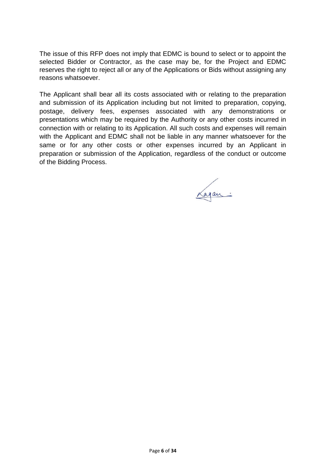The issue of this RFP does not imply that EDMC is bound to select or to appoint the selected Bidder or Contractor, as the case may be, for the Project and EDMC reserves the right to reject all or any of the Applications or Bids without assigning any reasons whatsoever.

The Applicant shall bear all its costs associated with or relating to the preparation and submission of its Application including but not limited to preparation, copying, postage, delivery fees, expenses associated with any demonstrations or presentations which may be required by the Authority or any other costs incurred in connection with or relating to its Application. All such costs and expenses will remain with the Applicant and EDMC shall not be liable in any manner whatsoever for the same or for any other costs or other expenses incurred by an Applicant in preparation or submission of the Application, regardless of the conduct or outcome of the Bidding Process.

Lagan: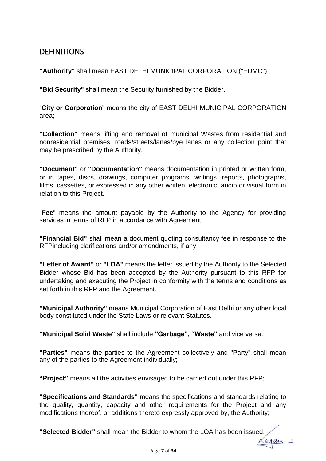## **DEFINITIONS**

**"Authority"** shall mean EAST DELHI MUNICIPAL CORPORATION ("EDMC").

**"Bid Security"** shall mean the Security furnished by the Bidder.

"**City or Corporation**" means the city of EAST DELHI MUNICIPAL CORPORATION area;

**"Collection"** means lifting and removal of municipal Wastes from residential and nonresidential premises, roads/streets/lanes/bye lanes or any collection point that may be prescribed by the Authority.

**"Document"** or **"Documentation"** means documentation in printed or written form, or in tapes, discs, drawings, computer programs, writings, reports, photographs, films, cassettes, or expressed in any other written, electronic, audio or visual form in relation to this Project.

"**Fee**" means the amount payable by the Authority to the Agency for providing services in terms of RFP in accordance with Agreement.

**"Financial Bid"** shall mean a document quoting consultancy fee in response to the RFPincluding clarifications and/or amendments, if any.

**"Letter of Award"** or **"LOA"** means the letter issued by the Authority to the Selected Bidder whose Bid has been accepted by the Authority pursuant to this RFP for undertaking and executing the Project in conformity with the terms and conditions as set forth in this RFP and the Agreement.

**"Municipal Authority"** means Municipal Corporation of East Delhi or any other local body constituted under the State Laws or relevant Statutes.

**"Municipal Solid Waste"** shall include **"Garbage", "Waste"** and vice versa.

**"Parties"** means the parties to the Agreement collectively and "Party" shall mean any of the parties to the Agreement individually;

**"Project"** means all the activities envisaged to be carried out under this RFP;

**"Specifications and Standards"** means the specifications and standards relating to the quality, quantity, capacity and other requirements for the Project and any modifications thereof, or additions thereto expressly approved by, the Authority;

**"Selected Bidder"** shall mean the Bidder to whom the LOA has been issued.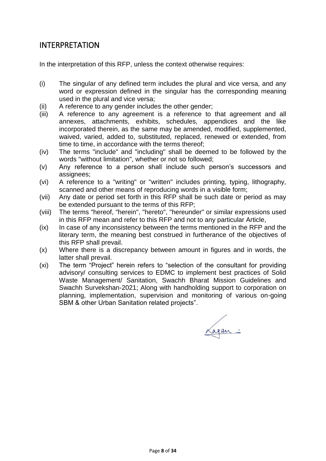### INTERPRETATION

In the interpretation of this RFP, unless the context otherwise requires:

- (i) The singular of any defined term includes the plural and vice versa, and any word or expression defined in the singular has the corresponding meaning used in the plural and vice versa;
- (ii) A reference to any gender includes the other gender;
- (iii) A reference to any agreement is a reference to that agreement and all annexes, attachments, exhibits, schedules, appendices and the like incorporated therein, as the same may be amended, modified, supplemented, waived, varied, added to, substituted, replaced, renewed or extended, from time to time, in accordance with the terms thereof;
- (iv) The terms "include" and "including" shall be deemed to be followed by the words "without limitation", whether or not so followed;
- (v) Any reference to a person shall include such person's successors and assignees;
- (vi) A reference to a "writing" or "written" includes printing, typing, lithography, scanned and other means of reproducing words in a visible form;
- (vii) Any date or period set forth in this RFP shall be such date or period as may be extended pursuant to the terms of this RFP;
- (viii) The terms "hereof, "herein", "hereto", "hereunder" or similar expressions used in this RFP mean and refer to this RFP and not to any particular Article,
- (ix) In case of any inconsistency between the terms mentioned in the RFP and the literary term, the meaning best construed in furtherance of the objectives of this RFP shall prevail.
- (x) Where there is a discrepancy between amount in figures and in words, the latter shall prevail.
- (xi) The term "Project" herein refers to "selection of the consultant for providing advisory/ consulting services to EDMC to implement best practices of Solid Waste Management/ Sanitation, Swachh Bharat Mission Guidelines and Swachh Survekshan-2021; Along with handholding support to corporation on planning, implementation, supervision and monitoring of various on-going SBM & other Urban Sanitation related projects".

Lagan: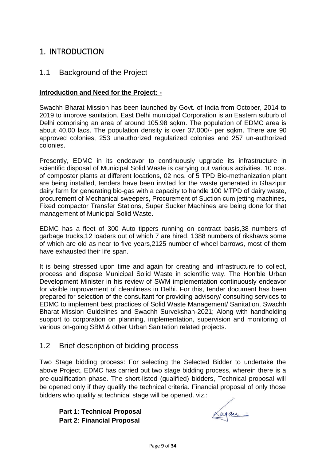# 1. INTRODUCTION

#### 1.1 Background of the Project

#### **Introduction and Need for the Project: -**

Swachh Bharat Mission has been launched by Govt. of India from October, 2014 to 2019 to improve sanitation. East Delhi municipal Corporation is an Eastern suburb of Delhi comprising an area of around 105.98 sqkm. The population of EDMC area is about 40.00 lacs. The population density is over 37,000/- per sqkm. There are 90 approved colonies, 253 unauthorized regularized colonies and 257 un-authorized colonies.

Presently, EDMC in its endeavor to continuously upgrade its infrastructure in scientific disposal of Municipal Solid Waste is carrying out various activities. 10 nos. of composter plants at different locations, 02 nos. of 5 TPD Bio-methanization plant are being installed, tenders have been invited for the waste generated in Ghazipur dairy farm for generating bio-gas with a capacity to handle 100 MTPD of dairy waste, procurement of Mechanical sweepers, Procurement of Suction cum jetting machines, Fixed compactor Transfer Stations, Super Sucker Machines are being done for that management of Municipal Solid Waste.

EDMC has a fleet of 300 Auto tippers running on contract basis,38 numbers of garbage trucks,12 loaders out of which 7 are hired, 1388 numbers of rikshaws some of which are old as near to five years,2125 number of wheel barrows, most of them have exhausted their life span.

It is being stressed upon time and again for creating and infrastructure to collect, process and dispose Municipal Solid Waste in scientific way. The Hon'ble Urban Development Minister in his review of SWM implementation continuously endeavor for visible improvement of cleanliness in Delhi. For this, tender document has been prepared for selection of the consultant for providing advisory/ consulting services to EDMC to implement best practices of Solid Waste Management/ Sanitation, Swachh Bharat Mission Guidelines and Swachh Survekshan-2021; Along with handholding support to corporation on planning, implementation, supervision and monitoring of various on-going SBM & other Urban Sanitation related projects.

#### 1.2 Brief description of bidding process

Two Stage bidding process: For selecting the Selected Bidder to undertake the above Project, EDMC has carried out two stage bidding process, wherein there is a pre-qualification phase. The short-listed (qualified) bidders, Technical proposal will be opened only if they qualify the technical criteria. Financial proposal of only those bidders who qualify at technical stage will be opened. viz.:

**Part 1: Technical Proposal Part 2: Financial Proposal**

Lagan: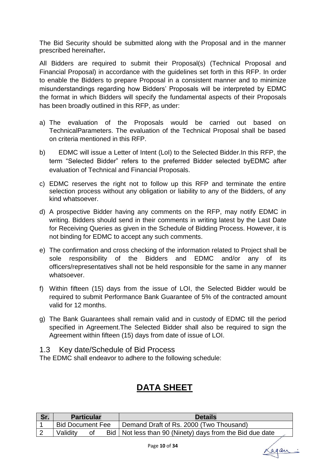The Bid Security should be submitted along with the Proposal and in the manner prescribed hereinafter**.**

All Bidders are required to submit their Proposal(s) (Technical Proposal and Financial Proposal) in accordance with the guidelines set forth in this RFP. In order to enable the Bidders to prepare Proposal in a consistent manner and to minimize misunderstandings regarding how Bidders' Proposals will be interpreted by EDMC the format in which Bidders will specify the fundamental aspects of their Proposals has been broadly outlined in this RFP, as under:

- a) The evaluation of the Proposals would be carried out based on TechnicalParameters. The evaluation of the Technical Proposal shall be based on criteria mentioned in this RFP.
- b) EDMC will issue a Letter of Intent (LoI) to the Selected Bidder.In this RFP, the term "Selected Bidder" refers to the preferred Bidder selected byEDMC after evaluation of Technical and Financial Proposals.
- c) EDMC reserves the right not to follow up this RFP and terminate the entire selection process without any obligation or liability to any of the Bidders, of any kind whatsoever.
- d) A prospective Bidder having any comments on the RFP, may notify EDMC in writing. Bidders should send in their comments in writing latest by the Last Date for Receiving Queries as given in the Schedule of Bidding Process. However, it is not binding for EDMC to accept any such comments.
- e) The confirmation and cross checking of the information related to Project shall be sole responsibility of the Bidders and EDMC and/or any of its officers/representatives shall not be held responsible for the same in any manner whatsoever.
- f) Within fifteen (15) days from the issue of LOI, the Selected Bidder would be required to submit Performance Bank Guarantee of 5% of the contracted amount valid for 12 months.
- g) The Bank Guarantees shall remain valid and in custody of EDMC till the period specified in Agreement.The Selected Bidder shall also be required to sign the Agreement within fifteen (15) days from date of issue of LOI.

1.3 Key date/Schedule of Bid Process

The EDMC shall endeavor to adhere to the following schedule:

# **DATA SHEET**

| <b>Particular</b>       |  | <b>Details</b>                                             |  |
|-------------------------|--|------------------------------------------------------------|--|
| <b>Bid Document Fee</b> |  | Demand Draft of Rs. 2000 (Two Thousand)                    |  |
| Validity<br>0t          |  | Bid   Not less than 90 (Ninety) days from the Bid due date |  |

again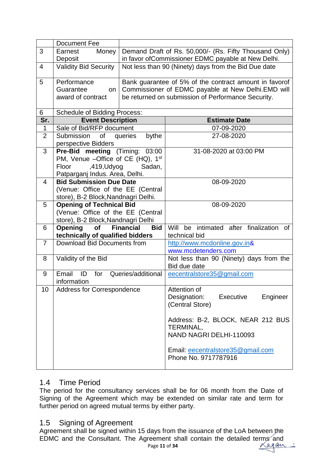|                | Document Fee                                                     |                                                        |                                                         |  |  |
|----------------|------------------------------------------------------------------|--------------------------------------------------------|---------------------------------------------------------|--|--|
| 3              | Earnest<br>Money                                                 | Demand Draft of Rs. 50,000/- (Rs. Fifty Thousand Only) |                                                         |  |  |
|                | Deposit                                                          |                                                        | in favor of Commissioner EDMC payable at New Delhi.     |  |  |
| $\overline{4}$ | Validity Bid Security                                            |                                                        | Not less than 90 (Ninety) days from the Bid Due date    |  |  |
| 5              | Performance                                                      | Bank guarantee of 5% of the contract amount in favorof |                                                         |  |  |
|                | Guarantee<br>on                                                  | Commissioner of EDMC payable at New Delhi.EMD will     |                                                         |  |  |
|                | award of contract                                                |                                                        | be returned on submission of Performance Security.      |  |  |
| 6              | <b>Schedule of Bidding Process:</b>                              |                                                        |                                                         |  |  |
| Sr.            | <b>Event Description</b>                                         |                                                        | <b>Estimate Date</b>                                    |  |  |
| 1              | Sale of Bid/RFP document                                         |                                                        | 07-09-2020                                              |  |  |
| $\overline{2}$ | Submission of queries<br>perspective Bidders                     | bythe                                                  | 27-08-2020                                              |  |  |
| 3              | <b>Pre-Bid meeting (Timing:</b>                                  | 03:00                                                  | 31-08-2020 at 03:00 PM                                  |  |  |
|                | PM, Venue -Office of CE (HQ), 1st                                |                                                        |                                                         |  |  |
|                | ,419, Udyog<br>Floor                                             | Sadan,                                                 |                                                         |  |  |
| 4              | Patparganj Indus. Area, Delhi.<br><b>Bid Submission Due Date</b> |                                                        | 08-09-2020                                              |  |  |
|                | (Venue: Office of the EE (Central                                |                                                        |                                                         |  |  |
|                | store), B-2 Block, Nandnagri Delhi.                              |                                                        |                                                         |  |  |
| 5              | <b>Opening of Technical Bid</b>                                  |                                                        | 08-09-2020                                              |  |  |
|                | (Venue: Office of the EE (Central                                |                                                        |                                                         |  |  |
|                | store), B-2 Block, Nandnagri Delhi                               |                                                        |                                                         |  |  |
| 6              | Opening of                                                       | <b>Financial</b><br><b>Bid</b>                         | Will be intimated after finalization of                 |  |  |
|                | technically of qualified bidders                                 |                                                        | technical bid                                           |  |  |
| $\overline{7}$ | Download Bid Documents from                                      |                                                        | http://www.mcdonline.gov.in&                            |  |  |
|                |                                                                  |                                                        | www.mcdetenders.com                                     |  |  |
| 8              | Validity of the Bid                                              |                                                        | Not less than 90 (Ninety) days from the<br>Bid due date |  |  |
| 9              | Email<br>$\blacksquare$<br>for<br>information                    | Queries/additional                                     | eecentralstore35@gmail.com                              |  |  |
| 10             | Address for Correspondence                                       |                                                        | Attention of                                            |  |  |
|                |                                                                  |                                                        | Designation:<br>Executive<br>Engineer                   |  |  |
|                |                                                                  |                                                        | (Central Store)                                         |  |  |
|                |                                                                  |                                                        |                                                         |  |  |
|                |                                                                  |                                                        | Address: B-2, BLOCK, NEAR 212 BUS                       |  |  |
|                |                                                                  |                                                        | TERMINAL,<br>NAND NAGRI DELHI-110093                    |  |  |
|                |                                                                  |                                                        |                                                         |  |  |
|                |                                                                  |                                                        | Email: eecentralstore35@gmail.com                       |  |  |
|                |                                                                  |                                                        | Phone No. 9717787916                                    |  |  |
|                |                                                                  |                                                        |                                                         |  |  |

### 1.4 Time Period

The period for the consultancy services shall be for 06 month from the Date of Signing of the Agreement which may be extended on similar rate and term for further period on agreed mutual terms by either party.

#### 1.5 Signing of Agreement

Agreement shall be signed within 15 days from the issuance of the LoA between the EDMC and the Consultant. The Agreement shall contain the detailed terms and<br>Page 11 of 34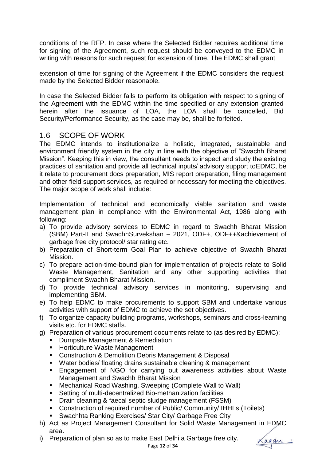conditions of the RFP. In case where the Selected Bidder requires additional time for signing of the Agreement, such request should be conveyed to the EDMC in writing with reasons for such request for extension of time. The EDMC shall grant

extension of time for signing of the Agreement if the EDMC considers the request made by the Selected Bidder reasonable.

In case the Selected Bidder fails to perform its obligation with respect to signing of the Agreement with the EDMC within the time specified or any extension granted herein after the issuance of LOA, the LOA shall be cancelled, Bid Security/Performance Security, as the case may be, shall be forfeited.

#### 1.6 SCOPE OF WORK

The EDMC intends to institutionalize a holistic, integrated, sustainable and environment friendly system in the city in line with the objective of "Swachh Bharat Mission". Keeping this in view, the consultant needs to inspect and study the existing practices of sanitation and provide all technical inputs/ advisory support toEDMC, be it relate to procurement docs preparation, MIS report preparation, filing management and other field support services, as required or necessary for meeting the objectives. The major scope of work shall include:

Implementation of technical and economically viable sanitation and waste management plan in compliance with the Environmental Act, 1986 along with following:

- a) To provide advisory services to EDMC in regard to Swachh Bharat Mission (SBM) Part-II and SwachhSurvekshan – 2021, ODF+, ODF++&achievement of garbage free city protocol/ star rating etc.
- b) Preparation of Short-term Goal Plan to achieve objective of Swachh Bharat Mission.
- c) To prepare action-time-bound plan for implementation of projects relate to Solid Waste Management, Sanitation and any other supporting activities that compliment Swachh Bharat Mission.
- d) To provide technical advisory services in monitoring, supervising and implementing SBM.
- e) To help EDMC to make procurements to support SBM and undertake various activities with support of EDMC to achieve the set objectives.
- f) To organize capacity building programs, workshops, seminars and cross-learning visits etc. for EDMC staffs.
- g) Preparation of various procurement documents relate to (as desired by EDMC):
	- **Dumpsite Management & Remediation**
	- **Horticulture Waste Management**
	- Construction & Demolition Debris Management & Disposal
	- Water bodies/ floating drains sustainable cleaning & management
	- Engagement of NGO for carrying out awareness activities about Waste Management and Swachh Bharat Mission
	- Mechanical Road Washing, Sweeping (Complete Wall to Wall)
	- Setting of multi-decentralized Bio-methanization facilities
	- **•** Drain cleaning & faecal septic sludge management (FSSM)
	- Construction of required number of Public/ Community/ IHHLs (Toilets)
	- Swachhta Ranking Exercises/ Star City/ Garbage Free City
- h) Act as Project Management Consultant for Solid Waste Management in EDMC area.
- i) Preparation of plan so as to make East Delhi a Garbage free city.

Cagan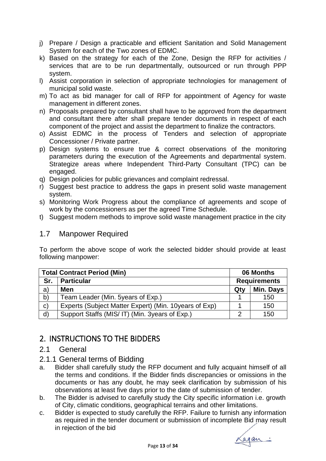- j) Prepare / Design a practicable and efficient Sanitation and Solid Management System for each of the Two zones of EDMC.
- k) Based on the strategy for each of the Zone, Design the RFP for activities / services that are to be run departmentally, outsourced or run through PPP system.
- l) Assist corporation in selection of appropriate technologies for management of municipal solid waste.
- m) To act as bid manager for call of RFP for appointment of Agency for waste management in different zones.
- n) Proposals prepared by consultant shall have to be approved from the department and consultant there after shall prepare tender documents in respect of each component of the project and assist the department to finalize the contractors.
- o) Assist EDMC in the process of Tenders and selection of appropriate Concessioner / Private partner.
- p) Design systems to ensure true & correct observations of the monitoring parameters during the execution of the Agreements and departmental system. Strategize areas where Independent Third-Party Consultant (TPC) can be engaged.
- q) Design policies for public grievances and complaint redressal.
- r) Suggest best practice to address the gaps in present solid waste management system.
- s) Monitoring Work Progress about the compliance of agreements and scope of work by the concessioners as per the agreed Time Schedule.
- t) Suggest modern methods to improve solid waste management practice in the city

#### 1.7 Manpower Required

To perform the above scope of work the selected bidder should provide at least following manpower:

| <b>Total Contract Period (Min)</b> |                                                        |     | 06 Months           |  |  |
|------------------------------------|--------------------------------------------------------|-----|---------------------|--|--|
| Sr.                                | <b>Particular</b>                                      |     | <b>Requirements</b> |  |  |
| a)                                 | <b>Men</b>                                             | Qty | Min. Days           |  |  |
| b)                                 | Team Leader (Min. 5years of Exp.)                      |     | 150                 |  |  |
| $\mathbf{C}$                       | Experts (Subject Matter Expert) (Min. 10 years of Exp) |     | 150                 |  |  |
| $\mathsf{d}$                       | Support Staffs (MIS/IT) (Min. 3years of Exp.)          | ⌒   | 150                 |  |  |

# 2. INSTRUCTIONS TO THE BIDDERS

#### 2.1 General

- 2.1.1 General terms of Bidding
- a. Bidder shall carefully study the RFP document and fully acquaint himself of all the terms and conditions. If the Bidder finds discrepancies or omissions in the documents or has any doubt, he may seek clarification by submission of his observations at least five days prior to the date of submission of tender.
- b. The Bidder is advised to carefully study the City specific information i.e. growth of City, climatic conditions, geographical terrains and other limitations.
- c. Bidder is expected to study carefully the RFP. Failure to furnish any information as required in the tender document or submission of incomplete Bid may result in rejection of the bid

<u>Lagan:</u>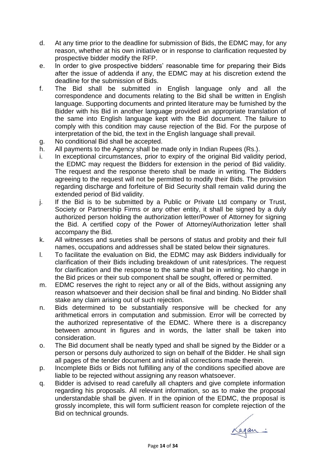- d. At any time prior to the deadline for submission of Bids, the EDMC may, for any reason, whether at his own initiative or in response to clarification requested by prospective bidder modify the RFP.
- e. In order to give prospective bidders' reasonable time for preparing their Bids after the issue of addenda if any, the EDMC may at his discretion extend the deadline for the submission of Bids.
- f. The Bid shall be submitted in English language only and all the correspondence and documents relating to the Bid shall be written in English language. Supporting documents and printed literature may be furnished by the Bidder with his Bid in another language provided an appropriate translation of the same into English language kept with the Bid document. The failure to comply with this condition may cause rejection of the Bid. For the purpose of interpretation of the bid, the text in the English language shall prevail.
- g. No conditional Bid shall be accepted.
- h. All payments to the Agency shall be made only in Indian Rupees (Rs.).
- i. In exceptional circumstances, prior to expiry of the original Bid validity period, the EDMC may request the Bidders for extension in the period of Bid validity. The request and the response thereto shall be made in writing. The Bidders agreeing to the request will not be permitted to modify their Bids. The provision regarding discharge and forfeiture of Bid Security shall remain valid during the extended period of Bid validity.
- j. If the Bid is to be submitted by a Public or Private Ltd company or Trust, Society or Partnership Firms or any other entity, it shall be signed by a duly authorized person holding the authorization letter/Power of Attorney for signing the Bid. A certified copy of the Power of Attorney/Authorization letter shall accompany the Bid.
- k. All witnesses and sureties shall be persons of status and probity and their full names, occupations and addresses shall be stated below their signatures.
- l. To facilitate the evaluation on Bid, the EDMC may ask Bidders individually for clarification of their Bids including breakdown of unit rates/prices. The request for clarification and the response to the same shall be in writing. No change in the Bid prices or their sub component shall be sought, offered or permitted.
- m. EDMC reserves the right to reject any or all of the Bids, without assigning any reason whatsoever and their decision shall be final and binding. No Bidder shall stake any claim arising out of such rejection.
- n. Bids determined to be substantially responsive will be checked for any arithmetical errors in computation and submission. Error will be corrected by the authorized representative of the EDMC. Where there is a discrepancy between amount in figures and in words, the latter shall be taken into consideration.
- o. The Bid document shall be neatly typed and shall be signed by the Bidder or a person or persons duly authorized to sign on behalf of the Bidder. He shall sign all pages of the tender document and initial all corrections made therein.
- p. Incomplete Bids or Bids not fulfilling any of the conditions specified above are liable to be rejected without assigning any reason whatsoever.
- q. Bidder is advised to read carefully all chapters and give complete information regarding his proposals. All relevant information, so as to make the proposal understandable shall be given. If in the opinion of the EDMC, the proposal is grossly incomplete, this will form sufficient reason for complete rejection of the Bid on technical grounds.

Lagan: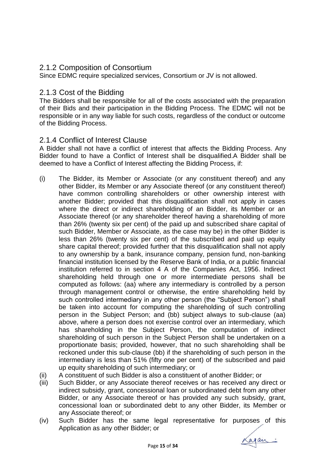#### 2.1.2 Composition of Consortium

Since EDMC require specialized services, Consortium or JV is not allowed.

#### 2.1.3 Cost of the Bidding

The Bidders shall be responsible for all of the costs associated with the preparation of their Bids and their participation in the Bidding Process. The EDMC will not be responsible or in any way liable for such costs, regardless of the conduct or outcome of the Bidding Process.

#### 2.1.4 Conflict of Interest Clause

A Bidder shall not have a conflict of interest that affects the Bidding Process. Any Bidder found to have a Conflict of Interest shall be disqualified.A Bidder shall be deemed to have a Conflict of Interest affecting the Bidding Process, if:

- (i) The Bidder, its Member or Associate (or any constituent thereof) and any other Bidder, its Member or any Associate thereof (or any constituent thereof) have common controlling shareholders or other ownership interest with another Bidder; provided that this disqualification shall not apply in cases where the direct or indirect shareholding of an Bidder, its Member or an Associate thereof (or any shareholder thereof having a shareholding of more than 26% (twenty six per cent) of the paid up and subscribed share capital of such Bidder, Member or Associate, as the case may be) in the other Bidder is less than 26% (twenty six per cent) of the subscribed and paid up equity share capital thereof; provided further that this disqualification shall not apply to any ownership by a bank, insurance company, pension fund, non-banking financial institution licensed by the Reserve Bank of India, or a public financial institution referred to in section 4 A of the Companies Act, 1956. Indirect shareholding held through one or more intermediate persons shall be computed as follows: (aa) where any intermediary is controlled by a person through management control or otherwise, the entire shareholding held by such controlled intermediary in any other person (the "Subject Person") shall be taken into account for computing the shareholding of such controlling person in the Subject Person; and (bb) subject always to sub-clause (aa) above, where a person does not exercise control over an intermediary, which has shareholding in the Subject Person, the computation of indirect shareholding of such person in the Subject Person shall be undertaken on a proportionate basis; provided, however, that no such shareholding shall be reckoned under this sub-clause (bb) if the shareholding of such person in the intermediary is less than 51% (fifty one per cent) of the subscribed and paid up equity shareholding of such intermediary; or
- (ii) A constituent of such Bidder is also a constituent of another Bidder; or
- (iii) Such Bidder, or any Associate thereof receives or has received any direct or indirect subsidy, grant, concessional loan or subordinated debt from any other Bidder, or any Associate thereof or has provided any such subsidy, grant, concessional loan or subordinated debt to any other Bidder, its Member or any Associate thereof; or
- (iv) Such Bidder has the same legal representative for purposes of this Application as any other Bidder; or

Lagan: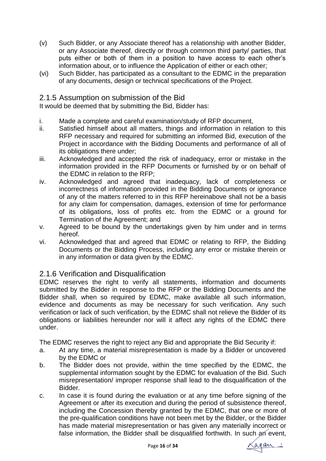- (v) Such Bidder, or any Associate thereof has a relationship with another Bidder, or any Associate thereof, directly or through common third party/ parties, that puts either or both of them in a position to have access to each other's information about, or to influence the Application of either or each other;
- (vi) Such Bidder, has participated as a consultant to the EDMC in the preparation of any documents, design or technical specifications of the Project.

#### 2.1.5 Assumption on submission of the Bid

It would be deemed that by submitting the Bid, Bidder has:

- i. Made a complete and careful examination/study of RFP document,
- ii. Satisfied himself about all matters, things and information in relation to this RFP necessary and required for submitting an informed Bid, execution of the Project in accordance with the Bidding Documents and performance of all of its obligations there under;
- iii. Acknowledged and accepted the risk of inadequacy, error or mistake in the information provided in the RFP Documents or furnished by or on behalf of the EDMC in relation to the RFP;
- iv. Acknowledged and agreed that inadequacy, lack of completeness or incorrectness of information provided in the Bidding Documents or ignorance of any of the matters referred to in this RFP hereinabove shall not be a basis for any claim for compensation, damages, extension of time for performance of its obligations, loss of profits etc. from the EDMC or a ground for Termination of the Agreement; and
- v. Agreed to be bound by the undertakings given by him under and in terms hereof.
- vi. Acknowledged that and agreed that EDMC or relating to RFP, the Bidding Documents or the Bidding Process, including any error or mistake therein or in any information or data given by the EDMC.

#### 2.1.6 Verification and Disqualification

EDMC reserves the right to verify all statements, information and documents submitted by the Bidder in response to the RFP or the Bidding Documents and the Bidder shall, when so required by EDMC, make available all such information, evidence and documents as may be necessary for such verification. Any such verification or lack of such verification, by the EDMC shall not relieve the Bidder of its obligations or liabilities hereunder nor will it affect any rights of the EDMC there under.

The EDMC reserves the right to reject any Bid and appropriate the Bid Security if:

- a. At any time, a material misrepresentation is made by a Bidder or uncovered by the EDMC or
- b. The Bidder does not provide, within the time specified by the EDMC, the supplemental information sought by the EDMC for evaluation of the Bid. Such misrepresentation/ improper response shall lead to the disqualification of the Bidder.
- c. In case it is found during the evaluation or at any time before signing of the Agreement or after its execution and during the period of subsistence thereof, including the Concession thereby granted by the EDMC, that one or more of the pre-qualification conditions have not been met by the Bidder, or the Bidder has made material misrepresentation or has given any materially incorrect or false information, the Bidder shall be disqualified forthwith. In such an event,

again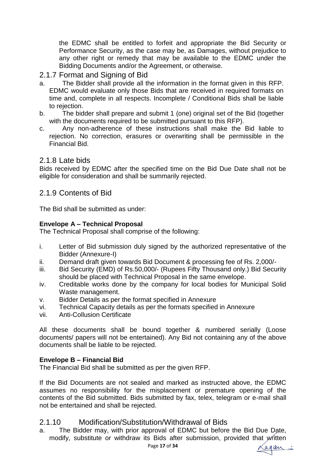the EDMC shall be entitled to forfeit and appropriate the Bid Security or Performance Security, as the case may be, as Damages, without prejudice to any other right or remedy that may be available to the EDMC under the Bidding Documents and/or the Agreement, or otherwise.

#### 2.1.7 Format and Signing of Bid

- a. The Bidder shall provide all the information in the format given in this RFP. EDMC would evaluate only those Bids that are received in required formats on time and, complete in all respects. Incomplete / Conditional Bids shall be liable to rejection.
- b. The bidder shall prepare and submit 1 (one) original set of the Bid (together with the documents required to be submitted pursuant to this RFP).
- c. Any non-adherence of these instructions shall make the Bid liable to rejection. No correction, erasures or overwriting shall be permissible in the Financial Bid.

#### 2.1.8 Late bids

Bids received by EDMC after the specified time on the Bid Due Date shall not be eligible for consideration and shall be summarily rejected.

#### 2.1.9 Contents of Bid

The Bid shall be submitted as under:

#### **Envelope A – Technical Proposal**

The Technical Proposal shall comprise of the following:

- i. Letter of Bid submission duly signed by the authorized representative of the Bidder (Annexure-I)
- ii. Demand draft given towards Bid Document & processing fee of Rs. 2,000/-
- iii. Bid Security (EMD) of Rs.50,000/- (Rupees Fifty Thousand only.) Bid Security should be placed with Technical Proposal in the same envelope.
- iv. Creditable works done by the company for local bodies for Municipal Solid Waste management.
- v. Bidder Details as per the format specified in Annexure
- vi. Technical Capacity details as per the formats specified in Annexure
- vii. Anti-Collusion Certificate

All these documents shall be bound together & numbered serially (Loose documents/ papers will not be entertained). Any Bid not containing any of the above documents shall be liable to be rejected.

#### **Envelope B – Financial Bid**

The Financial Bid shall be submitted as per the given RFP.

If the Bid Documents are not sealed and marked as instructed above, the EDMC assumes no responsibility for the misplacement or premature opening of the contents of the Bid submitted. Bids submitted by fax, telex, telegram or e-mail shall not be entertained and shall be rejected.

#### 2.1.10 Modification/Substitution/Withdrawal of Bids

a. The Bidder may, with prior approval of EDMC but before the Bid Due Date, modify, substitute or withdraw its Bids after submission, provided that written

again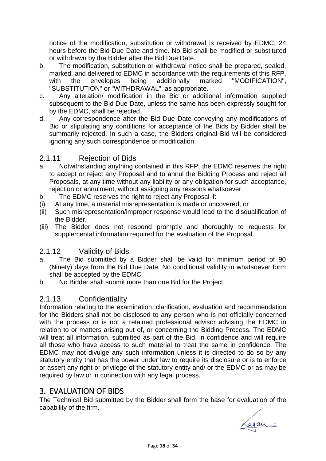notice of the modification, substitution or withdrawal is received by EDMC, 24 hours before the Bid Due Date and time. No Bid shall be modified or substituted or withdrawn by the Bidder after the Bid Due Date.

- b. The modification, substitution or withdrawal notice shall be prepared, sealed, marked, and delivered to EDMC in accordance with the requirements of this RFP, with the envelopes being additionally marked "MODIFICATION", "SUBSTITUTION" or "WITHDRAWAL", as appropriate.
- c. Any alteration/ modification in the Bid or additional information supplied subsequent to the Bid Due Date, unless the same has been expressly sought for by the EDMC, shall be rejected.
- d. Any correspondence after the Bid Due Date conveying any modifications of Bid or stipulating any conditions for acceptance of the Bids by Bidder shall be summarily rejected. In such a case, the Bidders original Bid will be considered ignoring any such correspondence or modification.

### 2.1.11 Rejection of Bids

- a. Notwithstanding anything contained in this RFP, the EDMC reserves the right to accept or reject any Proposal and to annul the Bidding Process and reject all Proposals, at any time without any liability or any obligation for such acceptance, rejection or annulment, without assigning any reasons whatsoever.
- b. The EDMC reserves the right to reject any Proposal if:
- (i) At any time, a material misrepresentation is made or uncovered, or
- (ii) Such misrepresentation/improper response would lead to the disqualification of the Bidder.
- (iii) The Bidder does not respond promptly and thoroughly to requests for supplemental information required for the evaluation of the Proposal.

#### 2.1.12 Validity of Bids

- a. The Bid submitted by a Bidder shall be valid for minimum period of 90 (Ninety) days from the Bid Due Date. No conditional validity in whatsoever form shall be accepted by the EDMC.
- b. No Bidder shall submit more than one Bid for the Project.

#### 2.1.13 Confidentiality

Information relating to the examination, clarification, evaluation and recommendation for the Bidders shall not be disclosed to any person who is not officially concerned with the process or is not a retained professional advisor advising the EDMC in relation to or matters arising out of, or concerning the Bidding Process. The EDMC will treat all information, submitted as part of the Bid, in confidence and will require all those who have access to such material to treat the same in confidence. The EDMC may not divulge any such information unless it is directed to do so by any statutory entity that has the power under law to require its disclosure or is to enforce or assert any right or privilege of the statutory entity and/ or the EDMC or as may be required by law or in connection with any legal process.

## 3. EVALUATION OF BIDS

The Technical Bid submitted by the Bidder shall form the base for evaluation of the capability of the firm.

again: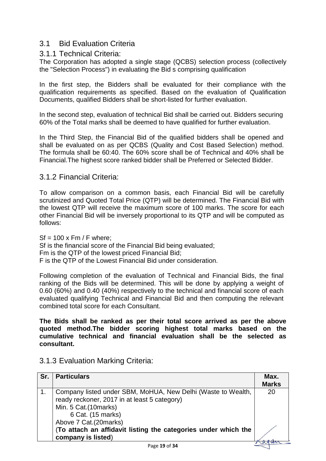#### 3.1 Bid Evaluation Criteria

#### 3.1.1 Technical Criteria:

The Corporation has adopted a single stage (QCBS) selection process (collectively the "Selection Process") in evaluating the Bid s comprising qualification

In the first step, the Bidders shall be evaluated for their compliance with the qualification requirements as specified. Based on the evaluation of Qualification Documents, qualified Bidders shall be short-listed for further evaluation.

In the second step, evaluation of technical Bid shall be carried out. Bidders securing 60% of the Total marks shall be deemed to have qualified for further evaluation.

In the Third Step, the Financial Bid of the qualified bidders shall be opened and shall be evaluated on as per QCBS (Quality and Cost Based Selection) method. The formula shall be 60:40. The 60% score shall be of Technical and 40% shall be Financial.The highest score ranked bidder shall be Preferred or Selected Bidder.

#### 3.1.2 Financial Criteria:

To allow comparison on a common basis, each Financial Bid will be carefully scrutinized and Quoted Total Price (QTP) will be determined. The Financial Bid with the lowest QTP will receive the maximum score of 100 marks. The score for each other Financial Bid will be inversely proportional to its QTP and will be computed as follows:

 $St = 100 \times Fm / F$  where: Sf is the financial score of the Financial Bid being evaluated; Fm is the QTP of the lowest priced Financial Bid; F is the QTP of the Lowest Financial Bid under consideration.

Following completion of the evaluation of Technical and Financial Bids, the final ranking of the Bids will be determined. This will be done by applying a weight of 0.60 (60%) and 0.40 (40%) respectively to the technical and financial score of each evaluated qualifying Technical and Financial Bid and then computing the relevant combined total score for each Consultant.

**The Bids shall be ranked as per their total score arrived as per the above quoted method.The bidder scoring highest total marks based on the cumulative technical and financial evaluation shall be the selected as consultant.**

| Sr. | <b>Particulars</b>                                                                                                                                                                                                                                                         | Max.<br><b>Marks</b> |
|-----|----------------------------------------------------------------------------------------------------------------------------------------------------------------------------------------------------------------------------------------------------------------------------|----------------------|
|     | Company listed under SBM, MoHUA, New Delhi (Waste to Wealth,<br>ready reckoner, 2017 in at least 5 category)<br>Min. 5 Cat.(10marks)<br>6 Cat. (15 marks)<br>Above 7 Cat.(20marks)<br>(To attach an affidavit listing the categories under which the<br>company is listed) | 20                   |
|     | $D = -40 - 694$                                                                                                                                                                                                                                                            |                      |

3.1.3 Evaluation Marking Criteria: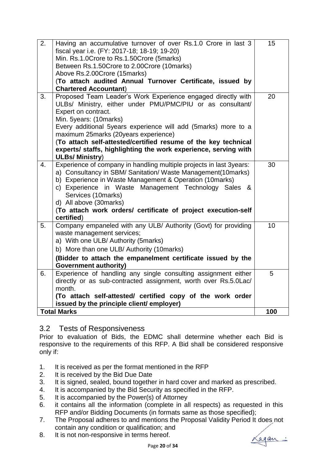| 2.<br>Having an accumulative turnover of over Rs.1.0 Crore in last 3<br>fiscal year i.e. (FY: 2017-18; 18-19; 19-20)<br>Min. Rs.1.0Crore to Rs.1.50Crore (5marks)<br>Between Rs.1.50Crore to 2.00Crore (10marks)<br>Above Rs.2.00Crore (15marks)<br>(To attach audited Annual Turnover Certificate, issued by<br><b>Chartered Accountant)</b>                                                                                                              | 15  |
|------------------------------------------------------------------------------------------------------------------------------------------------------------------------------------------------------------------------------------------------------------------------------------------------------------------------------------------------------------------------------------------------------------------------------------------------------------|-----|
| Proposed Team Leader's Work Experience engaged directly with<br>3.<br>ULBs/ Ministry, either under PMU/PMC/PIU or as consultant/<br>Expert on contract.<br>Min. 5years: (10marks)<br>Every additional 5years experience will add (5marks) more to a<br>maximum 25marks (20years experience)<br>(To attach self-attested/certified resume of the key technical<br>experts/ staffs, highlighting the work experience, serving with<br><b>ULBs/ Ministry)</b> | 20  |
| Experience of company in handling multiple projects in last 3years:<br>4.<br>a) Consultancy in SBM/ Sanitation/ Waste Management(10marks)<br>b) Experience in Waste Management & Operation (10marks)<br>c) Experience in Waste Management Technology Sales<br>_&<br>Services (10marks)<br>d) All above (30marks)<br>(To attach work orders/ certificate of project execution-self<br>certified)                                                            | 30  |
| Company empaneled with any ULB/ Authority (Govt) for providing<br>5.<br>waste management services;<br>a) With one ULB/ Authority (5marks)<br>b) More than one ULB/ Authority (10 marks)<br>(Bidder to attach the empanelment certificate issued by the<br><b>Government authority)</b>                                                                                                                                                                     | 10  |
| Experience of handling any single consulting assignment either<br>6.<br>directly or as sub-contracted assignment, worth over Rs.5.0Lac/<br>month.<br>(To attach self-attested/ certified copy of the work order<br>issued by the principle client/ employer)                                                                                                                                                                                               | 5   |
| <b>Total Marks</b>                                                                                                                                                                                                                                                                                                                                                                                                                                         | 100 |

#### 3.2 Tests of Responsiveness

Prior to evaluation of Bids, the EDMC shall determine whether each Bid is responsive to the requirements of this RFP. A Bid shall be considered responsive only if:

- 1. It is received as per the format mentioned in the RFP
- 2. It is received by the Bid Due Date
- 3. It is signed, sealed, bound together in hard cover and marked as prescribed.
- 4. It is accompanied by the Bid Security as specified in the RFP.
- 5. It is accompanied by the Power(s) of Attorney
- 6. it contains all the information (complete in all respects) as requested in this RFP and/or Bidding Documents (in formats same as those specified);
- 7. The Proposal adheres to and mentions the Proposal Validity Period It does not contain any condition or qualification; and
- 8. It is not non-responsive in terms hereof.

<u>Lagan:</u>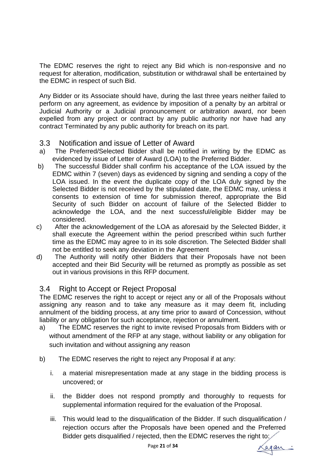The EDMC reserves the right to reject any Bid which is non-responsive and no request for alteration, modification, substitution or withdrawal shall be entertained by the EDMC in respect of such Bid.

Any Bidder or its Associate should have, during the last three years neither failed to perform on any agreement, as evidence by imposition of a penalty by an arbitral or Judicial Authority or a Judicial pronouncement or arbitration award, nor been expelled from any project or contract by any public authority nor have had any contract Terminated by any public authority for breach on its part.

#### 3.3 Notification and issue of Letter of Award

- a) The Preferred/Selected Bidder shall be notified in writing by the EDMC as evidenced by issue of Letter of Award (LOA) to the Preferred Bidder.
- b) The successful Bidder shall confirm his acceptance of the LOA issued by the EDMC within 7 (seven) days as evidenced by signing and sending a copy of the LOA issued. In the event the duplicate copy of the LOA duly signed by the Selected Bidder is not received by the stipulated date, the EDMC may, unless it consents to extension of time for submission thereof, appropriate the Bid Security of such Bidder on account of failure of the Selected Bidder to acknowledge the LOA, and the next successful/eligible Bidder may be considered.
- c) After the acknowledgement of the LOA as aforesaid by the Selected Bidder, it shall execute the Agreement within the period prescribed within such further time as the EDMC may agree to in its sole discretion. The Selected Bidder shall not be entitled to seek any deviation in the Agreement
- d) The Authority will notify other Bidders that their Proposals have not been accepted and their Bid Security will be returned as promptly as possible as set out in various provisions in this RFP document.

#### 3.4 Right to Accept or Reject Proposal

The EDMC reserves the right to accept or reject any or all of the Proposals without assigning any reason and to take any measure as it may deem fit, including annulment of the bidding process, at any time prior to award of Concession, without liability or any obligation for such acceptance, rejection or annulment.

- a) The EDMC reserves the right to invite revised Proposals from Bidders with or without amendment of the RFP at any stage, without liability or any obligation for such invitation and without assigning any reason
- b) The EDMC reserves the right to reject any Proposal if at any:
	- i. a material misrepresentation made at any stage in the bidding process is uncovered; or
	- ii. the Bidder does not respond promptly and thoroughly to requests for supplemental information required for the evaluation of the Proposal.
	- iii. This would lead to the disqualification of the Bidder. If such disqualification / rejection occurs after the Proposals have been opened and the Preferred Bidder gets disqualified / rejected, then the EDMC reserves the right to:

Lagan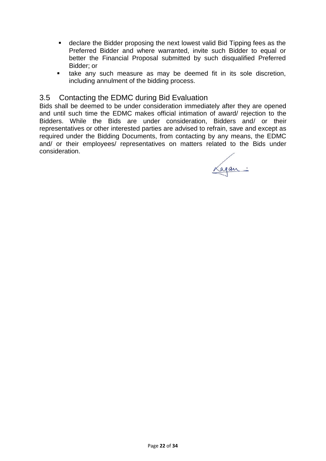- declare the Bidder proposing the next lowest valid Bid Tipping fees as the Preferred Bidder and where warranted, invite such Bidder to equal or better the Financial Proposal submitted by such disqualified Preferred Bidder; or
- take any such measure as may be deemed fit in its sole discretion, including annulment of the bidding process.

#### 3.5 Contacting the EDMC during Bid Evaluation

Bids shall be deemed to be under consideration immediately after they are opened and until such time the EDMC makes official intimation of award/ rejection to the Bidders. While the Bids are under consideration, Bidders and/ or their representatives or other interested parties are advised to refrain, save and except as required under the Bidding Documents, from contacting by any means, the EDMC and/ or their employees/ representatives on matters related to the Bids under consideration.

Lagan: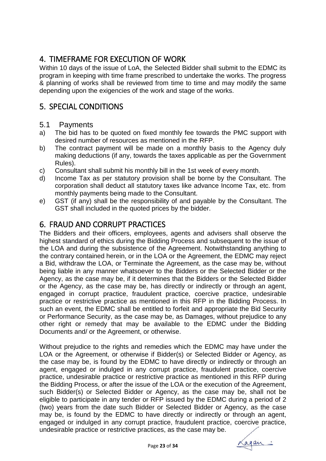# 4. TIMEFRAME FOR EXECUTION OF WORK

Within 10 days of the issue of LoA, the Selected Bidder shall submit to the EDMC its program in keeping with time frame prescribed to undertake the works. The progress & planning of works shall be reviewed from time to time and may modify the same depending upon the exigencies of the work and stage of the works.

# 5. SPECIAL CONDITIONS

#### 5.1 Payments

- a) The bid has to be quoted on fixed monthly fee towards the PMC support with desired number of resources as mentioned in the RFP.
- b) The contract payment will be made on a monthly basis to the Agency duly making deductions (if any, towards the taxes applicable as per the Government Rules).
- c) Consultant shall submit his monthly bill in the 1st week of every month.
- d) Income Tax as per statutory provision shall be borne by the Consultant. The corporation shall deduct all statutory taxes like advance Income Tax, etc. from monthly payments being made to the Consultant.
- e) GST (if any) shall be the responsibility of and payable by the Consultant. The GST shall included in the quoted prices by the bidder.

# 6. FRAUD AND CORRUPT PRACTICES

The Bidders and their officers, employees, agents and advisers shall observe the highest standard of ethics during the Bidding Process and subsequent to the issue of the LOA and during the subsistence of the Agreement. Notwithstanding anything to the contrary contained herein, or in the LOA or the Agreement, the EDMC may reject a Bid, withdraw the LOA, or Terminate the Agreement, as the case may be, without being liable in any manner whatsoever to the Bidders or the Selected Bidder or the Agency, as the case may be, if it determines that the Bidders or the Selected Bidder or the Agency, as the case may be, has directly or indirectly or through an agent, engaged in corrupt practice, fraudulent practice, coercive practice, undesirable practice or restrictive practice as mentioned in this RFP in the Bidding Process. In such an event, the EDMC shall be entitled to forfeit and appropriate the Bid Security or Performance Security, as the case may be, as Damages, without prejudice to any other right or remedy that may be available to the EDMC under the Bidding Documents and/ or the Agreement, or otherwise.

Without prejudice to the rights and remedies which the EDMC may have under the LOA or the Agreement, or otherwise if Bidder(s) or Selected Bidder or Agency, as the case may be, is found by the EDMC to have directly or indirectly or through an agent, engaged or indulged in any corrupt practice, fraudulent practice, coercive practice, undesirable practice or restrictive practice as mentioned in this RFP during the Bidding Process, or after the issue of the LOA or the execution of the Agreement, such Bidder(s) or Selected Bidder or Agency, as the case may be, shall not be eligible to participate in any tender or RFP issued by the EDMC during a period of 2 (two) years from the date such Bidder or Selected Bidder or Agency, as the case may be, is found by the EDMC to have directly or indirectly or through an agent, engaged or indulged in any corrupt practice, fraudulent practice, coercive practice, undesirable practice or restrictive practices, as the case may be.

again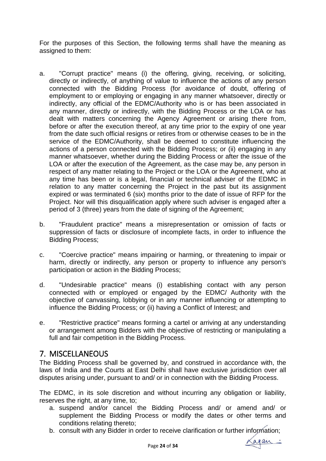For the purposes of this Section, the following terms shall have the meaning as assigned to them:

- a. "Corrupt practice" means (i) the offering, giving, receiving, or soliciting, directly or indirectly, of anything of value to influence the actions of any person connected with the Bidding Process (for avoidance of doubt, offering of employment to or employing or engaging in any manner whatsoever, directly or indirectly, any official of the EDMC/Authority who is or has been associated in any manner, directly or indirectly, with the Bidding Process or the LOA or has dealt with matters concerning the Agency Agreement or arising there from, before or after the execution thereof, at any time prior to the expiry of one year from the date such official resigns or retires from or otherwise ceases to be in the service of the EDMC/Authority, shall be deemed to constitute influencing the actions of a person connected with the Bidding Process; or (ii) engaging in any manner whatsoever, whether during the Bidding Process or after the issue of the LOA or after the execution of the Agreement, as the case may be, any person in respect of any matter relating to the Project or the LOA or the Agreement, who at any time has been or is a legal, financial or technical adviser of the EDMC in relation to any matter concerning the Project in the past but its assignment expired or was terminated 6 (six) months prior to the date of issue of RFP for the Project. Nor will this disqualification apply where such adviser is engaged after a period of 3 (three) years from the date of signing of the Agreement;
- b. "Fraudulent practice" means a misrepresentation or omission of facts or suppression of facts or disclosure of incomplete facts, in order to influence the Bidding Process;
- c. "Coercive practice" means impairing or harming, or threatening to impair or harm, directly or indirectly, any person or property to influence any person's participation or action in the Bidding Process;
- d. "Undesirable practice" means (i) establishing contact with any person connected with or employed or engaged by the EDMC/ Authority with the objective of canvassing, lobbying or in any manner influencing or attempting to influence the Bidding Process; or (ii) having a Conflict of Interest; and
- e. "Restrictive practice" means forming a cartel or arriving at any understanding or arrangement among Bidders with the objective of restricting or manipulating a full and fair competition in the Bidding Process.

### 7. MISCELLANEOUS

The Bidding Process shall be governed by, and construed in accordance with, the laws of India and the Courts at East Delhi shall have exclusive jurisdiction over all disputes arising under, pursuant to and/ or in connection with the Bidding Process.

The EDMC, in its sole discretion and without incurring any obligation or liability, reserves the right, at any time, to;

- a. suspend and/or cancel the Bidding Process and/ or amend and/ or supplement the Bidding Process or modify the dates or other terms and conditions relating thereto;
- b. consult with any Bidder in order to receive clarification or further information;<br> $\overline{a}$  Page 24 of 34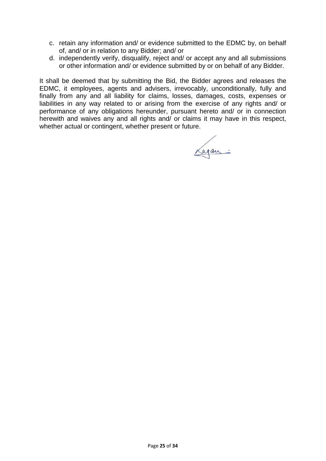- c. retain any information and/ or evidence submitted to the EDMC by, on behalf of, and/ or in relation to any Bidder; and/ or
- d. independently verify, disqualify, reject and/ or accept any and all submissions or other information and/ or evidence submitted by or on behalf of any Bidder.

It shall be deemed that by submitting the Bid, the Bidder agrees and releases the EDMC, it employees, agents and advisers, irrevocably, unconditionally, fully and finally from any and all liability for claims, losses, damages, costs, expenses or liabilities in any way related to or arising from the exercise of any rights and/ or performance of any obligations hereunder, pursuant hereto and/ or in connection herewith and waives any and all rights and/ or claims it may have in this respect, whether actual or contingent, whether present or future.

Lagan: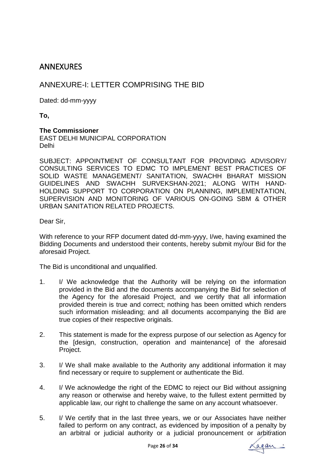### **ANNEXURES**

### ANNEXURE-I: LETTER COMPRISING THE BID

Dated: dd-mm-yyyy

**To,**

#### **The Commissioner**

EAST DELHI MUNICIPAL CORPORATION Delhi

SUBJECT: APPOINTMENT OF CONSULTANT FOR PROVIDING ADVISORY/ CONSULTING SERVICES TO EDMC TO IMPLEMENT BEST PRACTICES OF SOLID WASTE MANAGEMENT/ SANITATION, SWACHH BHARAT MISSION GUIDELINES AND SWACHH SURVEKSHAN-2021; ALONG WITH HAND-HOLDING SUPPORT TO CORPORATION ON PLANNING, IMPLEMENTATION, SUPERVISION AND MONITORING OF VARIOUS ON-GOING SBM & OTHER URBAN SANITATION RELATED PROJECTS.

Dear Sir,

With reference to your RFP document dated dd-mm-yyyy, I/we, having examined the Bidding Documents and understood their contents, hereby submit my/our Bid for the aforesaid Project.

The Bid is unconditional and unqualified.

- 1. I/ We acknowledge that the Authority will be relying on the information provided in the Bid and the documents accompanying the Bid for selection of the Agency for the aforesaid Project, and we certify that all information provided therein is true and correct; nothing has been omitted which renders such information misleading; and all documents accompanying the Bid are true copies of their respective originals.
- 2. This statement is made for the express purpose of our selection as Agency for the [design, construction, operation and maintenance] of the aforesaid Project.
- 3. I/ We shall make available to the Authority any additional information it may find necessary or require to supplement or authenticate the Bid.
- 4. I/ We acknowledge the right of the EDMC to reject our Bid without assigning any reason or otherwise and hereby waive, to the fullest extent permitted by applicable law, our right to challenge the same on any account whatsoever.
- 5. I/ We certify that in the last three years, we or our Associates have neither failed to perform on any contract, as evidenced by imposition of a penalty by an arbitral or judicial authority or a judicial pronouncement or arbitration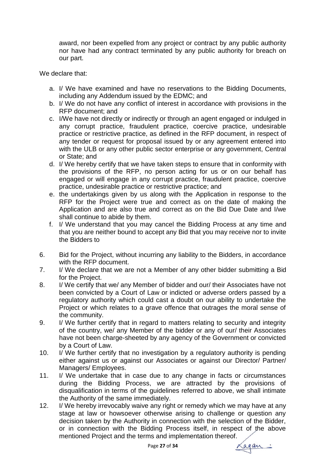award, nor been expelled from any project or contract by any public authority nor have had any contract terminated by any public authority for breach on our part.

We declare that:

- a. I/ We have examined and have no reservations to the Bidding Documents, including any Addendum issued by the EDMC; and
- b. I/ We do not have any conflict of interest in accordance with provisions in the RFP document; and
- c. I/We have not directly or indirectly or through an agent engaged or indulged in any corrupt practice, fraudulent practice, coercive practice, undesirable practice or restrictive practice, as defined in the RFP document, in respect of any tender or request for proposal issued by or any agreement entered into with the ULB or any other public sector enterprise or any government, Central or State; and
- d. I/ We hereby certify that we have taken steps to ensure that in conformity with the provisions of the RFP, no person acting for us or on our behalf has engaged or will engage in any corrupt practice, fraudulent practice, coercive practice, undesirable practice or restrictive practice; and
- e. the undertakings given by us along with the Application in response to the RFP for the Project were true and correct as on the date of making the Application and are also true and correct as on the Bid Due Date and I/we shall continue to abide by them.
- f. I/ We understand that you may cancel the Bidding Process at any time and that you are neither bound to accept any Bid that you may receive nor to invite the Bidders to
- 6. Bid for the Project, without incurring any liability to the Bidders, in accordance with the RFP document.
- 7. I/ We declare that we are not a Member of any other bidder submitting a Bid for the Project.
- 8. I/ We certify that we/ any Member of bidder and our/ their Associates have not been convicted by a Court of Law or indicted or adverse orders passed by a regulatory authority which could cast a doubt on our ability to undertake the Project or which relates to a grave offence that outrages the moral sense of the community.
- 9. I/ We further certify that in regard to matters relating to security and integrity of the country, we/ any Member of the bidder or any of our/ their Associates have not been charge-sheeted by any agency of the Government or convicted by a Court of Law.
- 10. I/ We further certify that no investigation by a regulatory authority is pending either against us or against our Associates or against our Director/ Partner/ Managers/ Employees.
- 11. I/ We undertake that in case due to any change in facts or circumstances during the Bidding Process, we are attracted by the provisions of disqualification in terms of the guidelines referred to above, we shall intimate the Authority of the same immediately.
- 12. I/ We hereby irrevocably waive any right or remedy which we may have at any stage at law or howsoever otherwise arising to challenge or question any decision taken by the Authority in connection with the selection of the Bidder, or in connection with the Bidding Process itself, in respect of the above mentioned Project and the terms and implementation thereof.

again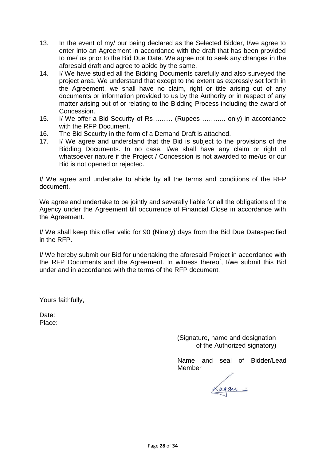- 13. In the event of my/ our being declared as the Selected Bidder, I/we agree to enter into an Agreement in accordance with the draft that has been provided to me/ us prior to the Bid Due Date. We agree not to seek any changes in the aforesaid draft and agree to abide by the same.
- 14. I/ We have studied all the Bidding Documents carefully and also surveyed the project area. We understand that except to the extent as expressly set forth in the Agreement, we shall have no claim, right or title arising out of any documents or information provided to us by the Authority or in respect of any matter arising out of or relating to the Bidding Process including the award of Concession.
- 15. I/ We offer a Bid Security of Rs……… (Rupees ……….. only) in accordance with the RFP Document.
- 16. The Bid Security in the form of a Demand Draft is attached.
- 17. I/ We agree and understand that the Bid is subject to the provisions of the Bidding Documents. In no case, I/we shall have any claim or right of whatsoever nature if the Project / Concession is not awarded to me/us or our Bid is not opened or rejected.

I/ We agree and undertake to abide by all the terms and conditions of the RFP document.

We agree and undertake to be jointly and severally liable for all the obligations of the Agency under the Agreement till occurrence of Financial Close in accordance with the Agreement.

I/ We shall keep this offer valid for 90 (Ninety) days from the Bid Due Datespecified in the RFP.

I/ We hereby submit our Bid for undertaking the aforesaid Project in accordance with the RFP Documents and the Agreement. In witness thereof, I/we submit this Bid under and in accordance with the terms of the RFP document.

Yours faithfully,

Date: Place:

> (Signature, name and designation of the Authorized signatory)

Name and seal of Bidder/Lead Member

Lagan: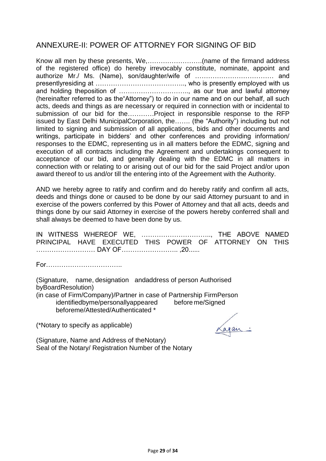### ANNEXURE-II: POWER OF ATTORNEY FOR SIGNING OF BID

Know all men by these presents, We,…………………….(name of the firmand address of the registered office) do hereby irrevocably constitute, nominate, appoint and authorize Mr./ Ms. (Name), son/daughter/wife of ……………………………… and presentlyresiding at ………………………………….., who is presently employed with us and holding theposition of ………………………….., as our true and lawful attorney (hereinafter referred to as the"Attorney") to do in our name and on our behalf, all such acts, deeds and things as are necessary or required in connection with or incidental to submission of our bid for the…………Project in responsible response to the RFP issued by East Delhi MunicipalCorporation, the……. (the "Authority") including but not limited to signing and submission of all applications, bids and other documents and writings, participate in bidders' and other conferences and providing information/ responses to the EDMC, representing us in all matters before the EDMC, signing and execution of all contracts including the Agreement and undertakings consequent to acceptance of our bid, and generally dealing with the EDMC in all matters in connection with or relating to or arising out of our bid for the said Project and/or upon award thereof to us and/or till the entering into of the Agreement with the Authority.

AND we hereby agree to ratify and confirm and do hereby ratify and confirm all acts, deeds and things done or caused to be done by our said Attorney pursuant to and in exercise of the powers conferred by this Power of Attorney and that all acts, deeds and things done by our said Attorney in exercise of the powers hereby conferred shall and shall always be deemed to have been done by us.

IN WITNESS WHEREOF WE, ………………………….., THE ABOVE NAMED PRINCIPAL HAVE EXECUTED THIS POWER OF ATTORNEY ON THIS ……………………… DAY OF…………………….. ,20......

For……………………………..

(Signature, name, designation andaddress of person Authorised byBoardResolution)

(in case of Firm/Company)/Partner in case of Partnership FirmPerson identifiedbyme/personallyappeared before me/Signed beforeme/Attested/Authenticated \*

(\*Notary to specify as applicable)

agan:

(Signature, Name and Address of theNotary) Seal of the Notary/ Registration Number of the Notary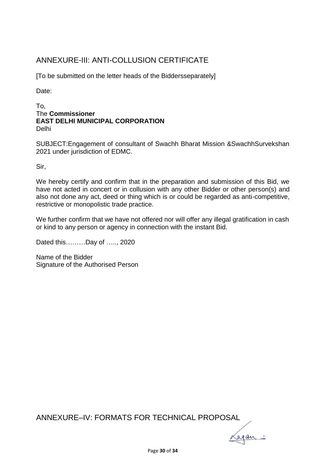# ANNEXURE-III: ANTI-COLLUSION CERTIFICATE

[To be submitted on the letter heads of the Biddersseparately]

Date:

#### To, The **Commissioner EAST DELHI MUNICIPAL CORPORATION** Delhi

SUBJECT:Engagement of consultant of Swachh Bharat Mission &SwachhSurvekshan 2021 under jurisdiction of EDMC.

Sir,

We hereby certify and confirm that in the preparation and submission of this Bid, we have not acted in concert or in collusion with any other Bidder or other person(s) and also not done any act, deed or thing which is or could be regarded as anti-competitive, restrictive or monopolistic trade practice.

We further confirm that we have not offered nor will offer any illegal gratification in cash or kind to any person or agency in connection with the instant Bid.

Dated this………Day of ….., 2020

Name of the Bidder Signature of the Authorised Person

ANNEXURE–IV: FORMATS FOR TECHNICAL PROPOSAL

Cagan: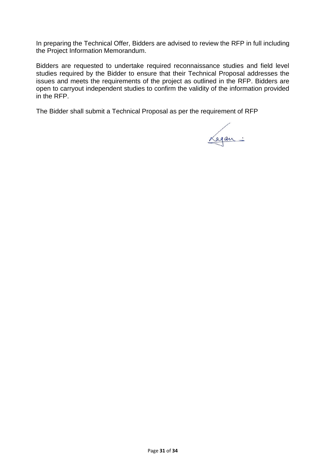In preparing the Technical Offer, Bidders are advised to review the RFP in full including the Project Information Memorandum.

Bidders are requested to undertake required reconnaissance studies and field level studies required by the Bidder to ensure that their Technical Proposal addresses the issues and meets the requirements of the project as outlined in the RFP. Bidders are open to carryout independent studies to confirm the validity of the information provided in the RFP.

The Bidder shall submit a Technical Proposal as per the requirement of RFP

Lagan: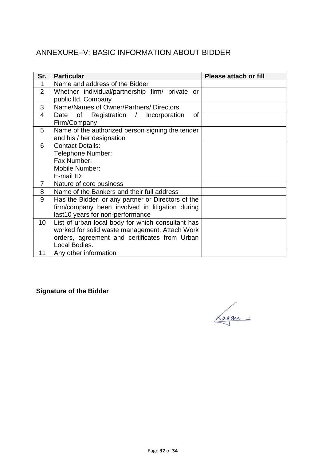# ANNEXURE–V: BASIC INFORMATION ABOUT BIDDER

| Sr.             | <b>Particular</b>                                  | <b>Please attach or fill</b> |
|-----------------|----------------------------------------------------|------------------------------|
| 1               | Name and address of the Bidder                     |                              |
| 2               | Whether individual/partnership firm/ private or    |                              |
|                 | public Itd. Company                                |                              |
| 3               | Name/Names of Owner/Partners/Directors             |                              |
| 4               | Date of Registration /<br>of<br>Incorporation      |                              |
|                 | Firm/Company                                       |                              |
| 5               | Name of the authorized person signing the tender   |                              |
|                 | and his / her designation                          |                              |
| 6               | <b>Contact Details:</b>                            |                              |
|                 | Telephone Number:                                  |                              |
|                 | Fax Number:                                        |                              |
|                 | Mobile Number:                                     |                              |
|                 | E-mail ID:                                         |                              |
| 7               | Nature of core business                            |                              |
| 8               | Name of the Bankers and their full address         |                              |
| 9               | Has the Bidder, or any partner or Directors of the |                              |
|                 | firm/company been involved in litigation during    |                              |
|                 | last10 years for non-performance                   |                              |
| 10 <sup>°</sup> | List of urban local body for which consultant has  |                              |
|                 | worked for solid waste management. Attach Work     |                              |
|                 | orders, agreement and certificates from Urban      |                              |
|                 | Local Bodies.                                      |                              |
| 11              | Any other information                              |                              |

**Signature of the Bidder**

Lagan